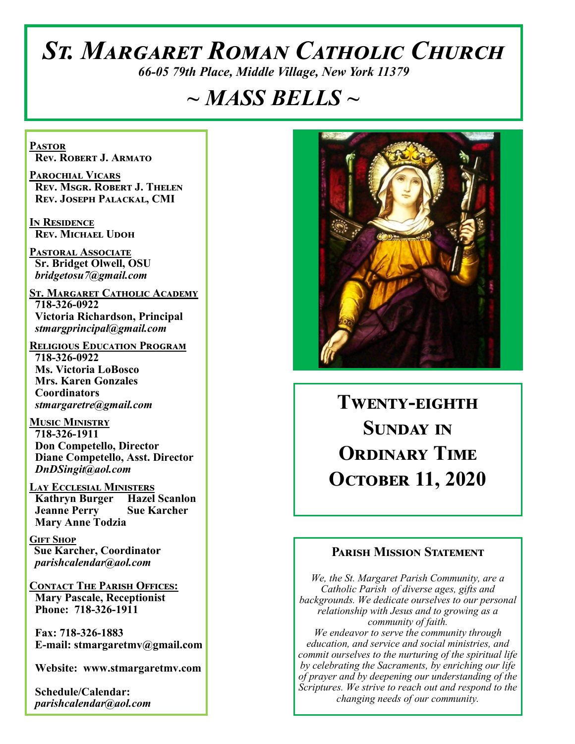# *St. Margaret Roman Catholic Church*

*66-05 79th Place, Middle Village, New York 11379*

# *~ MASS BELLS ~*

**Pastor Rev. Robert J. Armato**

**Parochial Vicars Rev. Msgr. Robert J. Thelen Rev. Joseph Palackal, CMI**

**In Residence Rev. Michael Udoh**

**Pastoral Associate Sr. Bridget Olwell, OSU**  *bridgetosu7@gmail.com*

**St. Margaret Catholic Academy 718-326-0922 Victoria Richardson, Principal**  *stmargprincipal@gmail.com*

**Religious Education Program 718-326-0922 Ms. Victoria LoBosco Mrs. Karen Gonzales Coordinators** *stmargaretre@gmail.com*

**Music Ministry 718-326-1911 Don Competello, Director Diane Competello, Asst. Director** *DnDSingit@aol.com*

**Lay Ecclesial Ministers Kathryn Burger Hazel Scanlon Jeanne Perry Sue Karcher Mary Anne Todzia**

**Gift Shop Sue Karcher, Coordinator** *parishcalendar@aol.com*

**Contact The Parish Offices: Mary Pascale, Receptionist Phone: 718-326-1911** 

 **Fax: 718-326-1883 E-mail: stmargaretmv@gmail.com**

 **Website: www.stmargaretmv.com**

 **Schedule/Calendar:** *parishcalendar@aol.com* 



**Twenty-eighth Sunday in Ordinary Time October 11, 2020** 

#### **Parish Mission Statement**

*We, the St. Margaret Parish Community, are a Catholic Parish of diverse ages, gifts and backgrounds. We dedicate ourselves to our personal relationship with Jesus and to growing as a community of faith. We endeavor to serve the community through education, and service and social ministries, and commit ourselves to the nurturing of the spiritual life by celebrating the Sacraments, by enriching our life of prayer and by deepening our understanding of the Scriptures. We strive to reach out and respond to the changing needs of our community.*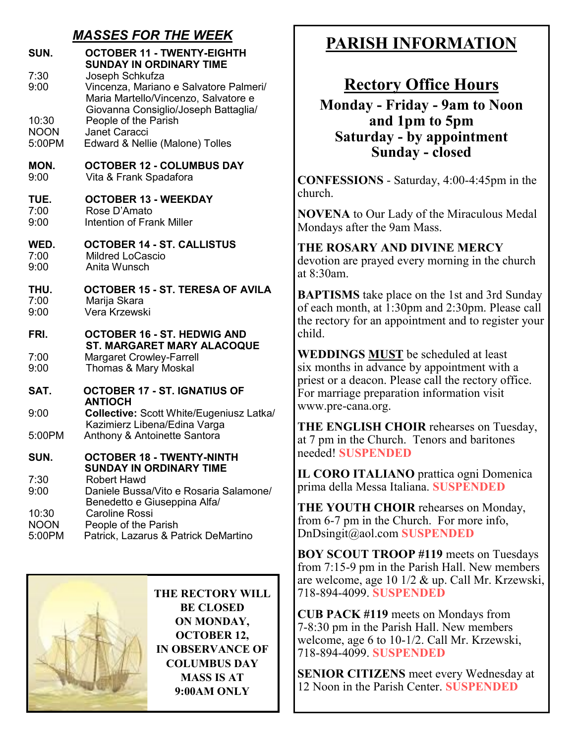## *MASSES FOR THE WEEK*

| SUN.<br>7:30<br>9:00<br>10:30<br><b>NOON</b><br>5:00PM | <b>OCTOBER 11 - TWENTY-EIGHTH</b><br><b>SUNDAY IN ORDINARY TIME</b><br>Joseph Schkufza<br>Vincenza, Mariano e Salvatore Palmeri/<br>Maria Martello/Vincenzo, Salvatore e<br>Giovanna Consiglio/Joseph Battaglia/<br>People of the Parish<br><b>Janet Caracci</b><br>Edward & Nellie (Malone) Tolles |
|--------------------------------------------------------|-----------------------------------------------------------------------------------------------------------------------------------------------------------------------------------------------------------------------------------------------------------------------------------------------------|
| MON.<br>9:00                                           | <b>OCTOBER 12 - COLUMBUS DAY</b><br>Vita & Frank Spadafora                                                                                                                                                                                                                                          |
| TUE.<br>7:00<br>9:00                                   | <b>OCTOBER 13 - WEEKDAY</b><br>Rose D'Amato<br>Intention of Frank Miller                                                                                                                                                                                                                            |
| WED.<br>7:00<br>9:00                                   | <b>OCTOBER 14 - ST. CALLISTUS</b><br><b>Mildred LoCascio</b><br>Anita Wunsch                                                                                                                                                                                                                        |
| THU.<br>7:00<br>9:00                                   | OCTOBER 15 - ST. TERESA OF AVILA<br>Marija Skara<br>Vera Krzewski                                                                                                                                                                                                                                   |
| FRI.<br>7:00<br>9:00                                   | <b>OCTOBER 16 - ST. HEDWIG AND</b><br>ST. MARGARET MARY ALACOQUE<br><b>Margaret Crowley-Farrell</b><br>Thomas & Mary Moskal                                                                                                                                                                         |
| SAT.                                                   | <b>OCTOBER 17 - ST. IGNATIUS OF</b>                                                                                                                                                                                                                                                                 |
| 9:00                                                   | <b>ANTIOCH</b><br><b>Collective: Scott White/Eugeniusz Latka/</b>                                                                                                                                                                                                                                   |
| 5:00PM                                                 | Kazimierz Libena/Edina Varga<br>Anthony & Antoinette Santora                                                                                                                                                                                                                                        |
| SUN.                                                   | <b>OCTOBER 18 - TWENTY-NINTH</b><br>SUNDAY IN ORDINARY TIME<br>Robert Hawd                                                                                                                                                                                                                          |
| 7:30<br>9:00                                           | Daniele Bussa/Vito e Rosaria Salamone/                                                                                                                                                                                                                                                              |
| 10:30<br><b>NOON</b><br>5:00PM                         | Benedetto e Giuseppina Alfa/<br>Caroline Rossi<br>People of the Parish<br>Patrick, Lazarus & Patrick DeMartino                                                                                                                                                                                      |



**THE RECTORY WILL BE CLOSED ON MONDAY, OCTOBER 12, IN OBSERVANCE OF COLUMBUS DAY MASS IS AT 9:00AM ONLY** 

# **PARISH INFORMATION**

# **Rectory Office Hours**

**Monday - Friday - 9am to Noon and 1pm to 5pm Saturday - by appointment Sunday - closed**

**CONFESSIONS** - Saturday, 4:00-4:45pm in the church.

**NOVENA** to Our Lady of the Miraculous Medal Mondays after the 9am Mass.

# **THE ROSARY AND DIVINE MERCY**

devotion are prayed every morning in the church at 8:30am.

**BAPTISMS** take place on the 1st and 3rd Sunday of each month, at 1:30pm and 2:30pm. Please call the rectory for an appointment and to register your child.

**WEDDINGS MUST** be scheduled at least six months in advance by appointment with a priest or a deacon. Please call the rectory office. For marriage preparation information visit www.pre-cana.org.

**THE ENGLISH CHOIR** rehearses on Tuesday, at 7 pm in the Church. Tenors and baritones needed! **SUSPENDED**

**IL CORO ITALIANO** prattica ogni Domenica prima della Messa Italiana. **SUSPENDED**

**THE YOUTH CHOIR** rehearses on Monday, from 6-7 pm in the Church. For more info, DnDsingit@aol.com **SUSPENDED**

**BOY SCOUT TROOP #119** meets on Tuesdays from 7:15-9 pm in the Parish Hall. New members are welcome, age 10 1/2 & up. Call Mr. Krzewski, 718-894-4099. **SUSPENDED**

**CUB PACK #119** meets on Mondays from 7-8:30 pm in the Parish Hall. New members welcome, age 6 to 10-1/2. Call Mr. Krzewski, 718-894-4099. **SUSPENDED**

**SENIOR CITIZENS** meet every Wednesday at 12 Noon in the Parish Center. **SUSPENDED**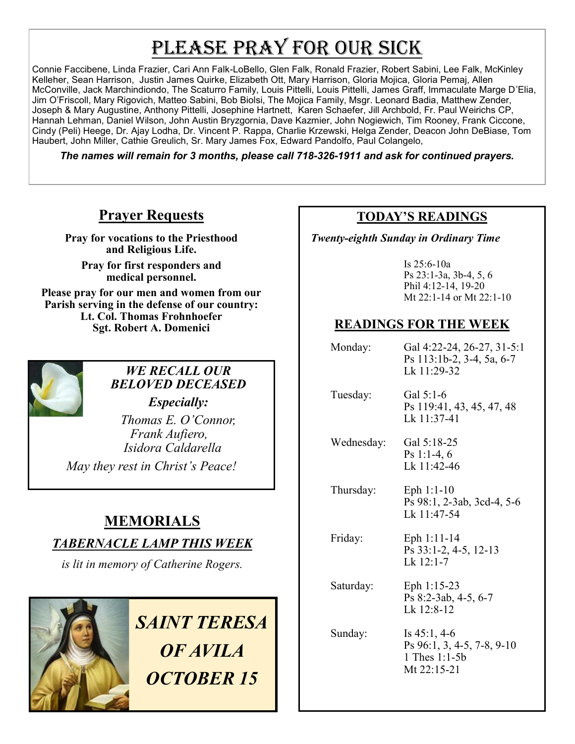# PLEASE PRAY FOR OUR SICK

Connie Faccibene, Linda Frazier, Cari Ann Falk-LoBello, Glen Falk, Ronald Frazier, Robert Sabini, Lee Falk, McKinley Kelleher, Sean Harrison, Justin James Quirke, Elizabeth Ott, Mary Harrison, Gloria Mojica, Gloria Pemaj, Allen McConville, Jack Marchindiondo, The Scaturro Family, Louis Pittelli, Louis Pittelli, James Graff, Immaculate Marge D'Elia, Jim O'Friscoll, Mary Rigovich, Matteo Sabini, Bob Biolsi, The Mojica Family, Msgr. Leonard Badia, Matthew Zender, Joseph & Mary Augustine, Anthony Pittelli, Josephine Hartnett, Karen Schaefer, Jill Archbold, Fr. Paul Weirichs CP, Hannah Lehman, Daniel Wilson, John Austin Bryzgornia, Dave Kazmier, John Nogiewich, Tim Rooney, Frank Ciccone, Cindy (Peli) Heege, Dr. Ajay Lodha, Dr. Vincent P. Rappa, Charlie Krzewski, Helga Zender, Deacon John DeBiase, Tom Haubert, John Miller, Cathie Greulich, Sr. Mary James Fox, Edward Pandolfo, Paul Colangelo,

*The names will remain for 3 months, please call 718-326-1911 and ask for continued prayers.*

# **Prayer Requests**

**Pray for vocations to the Priesthood and Religious Life.** 

**Pray for first responders and medical personnel.**

**Please pray for our men and women from our Parish serving in the defense of our country: Lt. Col. Thomas Frohnhoefer Sgt. Robert A. Domenici** 



# *WE RECALL OUR BELOVED DECEASED*

*Especially: Thomas E. O'Connor, Frank Aufiero, Isidora Caldarella May they rest in Christ's Peace!*

# **MEMORIALS**

## *TABERNACLE LAMP THIS WEEK*

*is lit in memory of Catherine Rogers.* 



# *SAINT TERESA OF AVILA OCTOBER 15*

### **TODAY'S READINGS**

 *Twenty-eighth Sunday in Ordinary Time*

Is 25:6-10a Ps 23:1-3a, 3b-4, 5, 6 Phil 4:12-14, 19-20 Mt 22:1-14 or Mt 22:1-10

# **READINGS FOR THE WEEK**

 Monday: Gal 4:22-24, 26-27, 31-5:1 Ps 113:1b-2, 3-4, 5a, 6-7 Lk 11:29-32 Tuesday: Gal 5:1-6 Ps 119:41, 43, 45, 47, 48 Lk 11:37-41 Wednesday: Gal 5:18-25 Ps 1:1-4, 6 Lk 11:42-46 Thursday: Eph 1:1-10 Ps 98:1, 2-3ab, 3cd-4, 5-6 Lk 11:47-54 Friday: Eph 1:11-14 Ps 33:1-2, 4-5, 12-13 Lk 12:1-7 Saturday: Eph 1:15-23 Ps 8:2-3ab, 4-5, 6-7 Lk 12:8-12 Sunday: Is 45:1, 4-6 Ps 96:1, 3, 4-5, 7-8, 9-10 1 Thes 1:1-5b Mt 22:15-21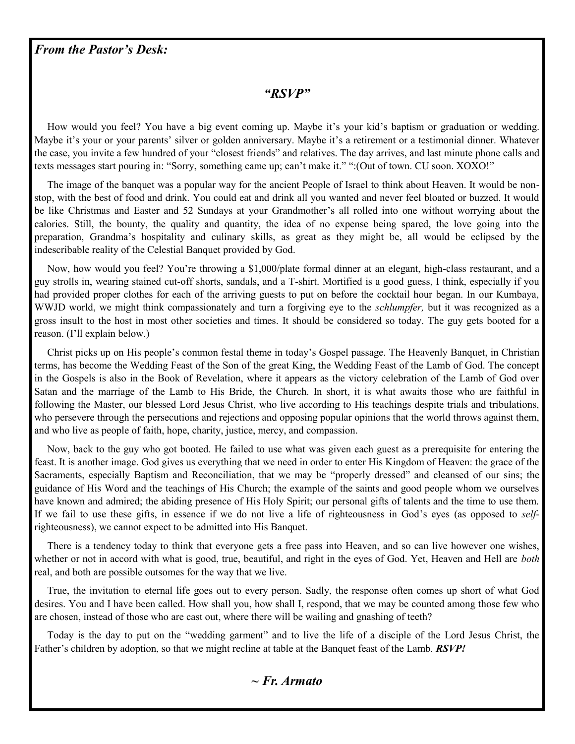#### *From the Pastor's Desk:*

#### *"RSVP"*

 How would you feel? You have a big event coming up. Maybe it's your kid's baptism or graduation or wedding. Maybe it's your or your parents' silver or golden anniversary. Maybe it's a retirement or a testimonial dinner. Whatever the case, you invite a few hundred of your "closest friends" and relatives. The day arrives, and last minute phone calls and texts messages start pouring in: "Sorry, something came up; can't make it." ":(Out of town. CU soon. XOXO!"

 The image of the banquet was a popular way for the ancient People of Israel to think about Heaven. It would be nonstop, with the best of food and drink. You could eat and drink all you wanted and never feel bloated or buzzed. It would be like Christmas and Easter and 52 Sundays at your Grandmother's all rolled into one without worrying about the calories. Still, the bounty, the quality and quantity, the idea of no expense being spared, the love going into the preparation, Grandma's hospitality and culinary skills, as great as they might be, all would be eclipsed by the indescribable reality of the Celestial Banquet provided by God.

 Now, how would you feel? You're throwing a \$1,000/plate formal dinner at an elegant, high-class restaurant, and a guy strolls in, wearing stained cut-off shorts, sandals, and a T-shirt. Mortified is a good guess, I think, especially if you had provided proper clothes for each of the arriving guests to put on before the cocktail hour began. In our Kumbaya, WWJD world, we might think compassionately and turn a forgiving eye to the *schlumpfer,* but it was recognized as a gross insult to the host in most other societies and times. It should be considered so today. The guy gets booted for a reason. (I'll explain below.)

 Christ picks up on His people's common festal theme in today's Gospel passage. The Heavenly Banquet, in Christian terms, has become the Wedding Feast of the Son of the great King, the Wedding Feast of the Lamb of God. The concept in the Gospels is also in the Book of Revelation, where it appears as the victory celebration of the Lamb of God over Satan and the marriage of the Lamb to His Bride, the Church. In short, it is what awaits those who are faithful in following the Master, our blessed Lord Jesus Christ, who live according to His teachings despite trials and tribulations, who persevere through the persecutions and rejections and opposing popular opinions that the world throws against them, and who live as people of faith, hope, charity, justice, mercy, and compassion.

 Now, back to the guy who got booted. He failed to use what was given each guest as a prerequisite for entering the feast. It is another image. God gives us everything that we need in order to enter His Kingdom of Heaven: the grace of the Sacraments, especially Baptism and Reconciliation, that we may be "properly dressed" and cleansed of our sins; the guidance of His Word and the teachings of His Church; the example of the saints and good people whom we ourselves have known and admired; the abiding presence of His Holy Spirit; our personal gifts of talents and the time to use them. If we fail to use these gifts, in essence if we do not live a life of righteousness in God's eyes (as opposed to *self*righteousness), we cannot expect to be admitted into His Banquet.

 There is a tendency today to think that everyone gets a free pass into Heaven, and so can live however one wishes, whether or not in accord with what is good, true, beautiful, and right in the eyes of God. Yet, Heaven and Hell are *both*  real, and both are possible outsomes for the way that we live.

 True, the invitation to eternal life goes out to every person. Sadly, the response often comes up short of what God desires. You and I have been called. How shall you, how shall I, respond, that we may be counted among those few who are chosen, instead of those who are cast out, where there will be wailing and gnashing of teeth?

 Today is the day to put on the "wedding garment" and to live the life of a disciple of the Lord Jesus Christ, the Father's children by adoption, so that we might recline at table at the Banquet feast of the Lamb. *RSVP!*

#### *~ Fr. Armato*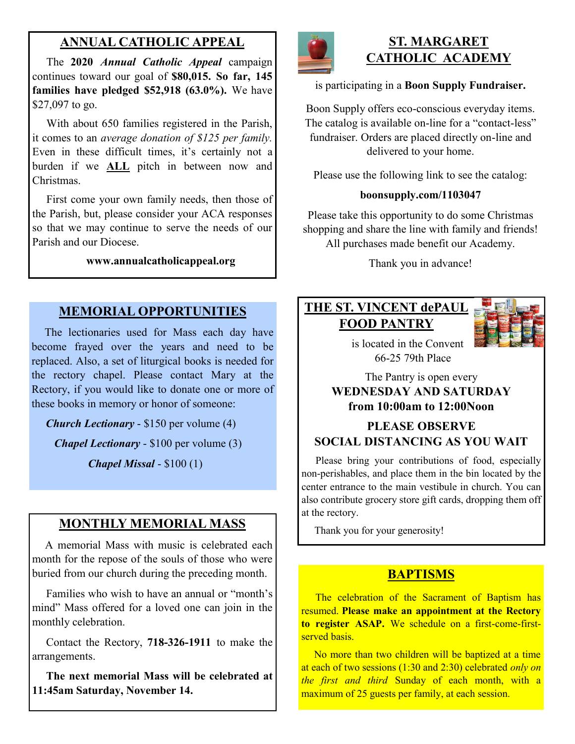## **ANNUAL CATHOLIC APPEAL**

 The **2020** *Annual Catholic Appeal* campaign continues toward our goal of **\$80,015. So far, 145 families have pledged \$52,918 (63.0%).** We have \$27,097 to go.

With about 650 families registered in the Parish, it comes to an *average donation of \$125 per family.*  Even in these difficult times, it's certainly not a burden if we **ALL** pitch in between now and Christmas.

 First come your own family needs, then those of the Parish, but, please consider your ACA responses so that we may continue to serve the needs of our Parish and our Diocese.

#### **www.annualcatholicappeal.org**

#### **MEMORIAL OPPORTUNITIES**

 The lectionaries used for Mass each day have become frayed over the years and need to be replaced. Also, a set of liturgical books is needed for the rectory chapel. Please contact Mary at the Rectory, if you would like to donate one or more of these books in memory or honor of someone:

*Church Lectionary* - \$150 per volume (4)

*Chapel Lectionary* - \$100 per volume (3)

*Chapel Missal* - \$100 (1)

#### **MONTHLY MEMORIAL MASS**

 A memorial Mass with music is celebrated each month for the repose of the souls of those who were buried from our church during the preceding month.

 Families who wish to have an annual or "month's mind" Mass offered for a loved one can join in the monthly celebration.

 Contact the Rectory, **718-326-1911** to make the arrangements.

 **The next memorial Mass will be celebrated at 11:45am Saturday, November 14.** 



### **ST. MARGARET CATHOLIC ACADEMY**

#### is participating in a **Boon Supply Fundraiser.**

Boon Supply offers eco-conscious everyday items. The catalog is available on-line for a "contact-less" fundraiser. Orders are placed directly on-line and delivered to your home.

Please use the following link to see the catalog:

#### **boonsupply.com/1103047**

Please take this opportunity to do some Christmas shopping and share the line with family and friends! All purchases made benefit our Academy.

Thank you in advance!

# **THE ST. VINCENT dePAUL FOOD PANTRY**



 is located in the Convent 66-25 79th Place

#### The Pantry is open every **WEDNESDAY AND SATURDAY from 10:00am to 12:00Noon**

#### **PLEASE OBSERVE SOCIAL DISTANCING AS YOU WAIT**

 Please bring your contributions of food, especially non-perishables, and place them in the bin located by the center entrance to the main vestibule in church. You can also contribute grocery store gift cards, dropping them off at the rectory.

Thank you for your generosity!

#### **BAPTISMS**

 The celebration of the Sacrament of Baptism has resumed. **Please make an appointment at the Rectory to register ASAP.** We schedule on a first-come-firstserved basis.

 No more than two children will be baptized at a time at each of two sessions (1:30 and 2:30) celebrated *only on the first and third* Sunday of each month, with a maximum of 25 guests per family, at each session.